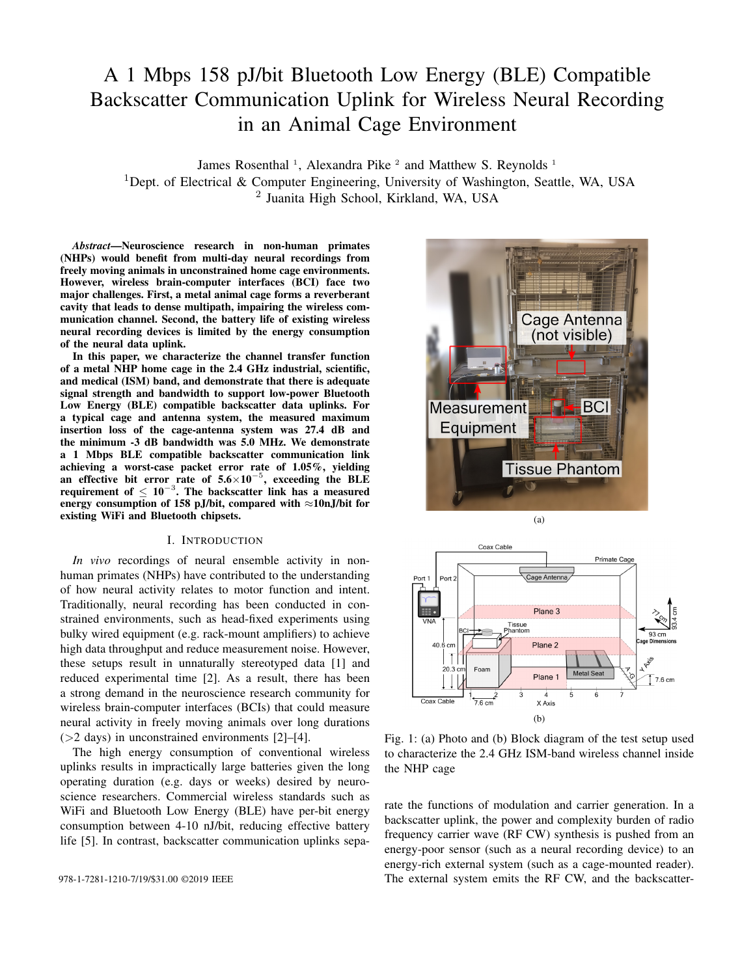# A 1 Mbps 158 pJ/bit Bluetooth Low Energy (BLE) Compatible Backscatter Communication Uplink for Wireless Neural Recording in an Animal Cage Environment

James Rosenthal<sup>1</sup>, Alexandra Pike<sup>2</sup> and Matthew S. Reynolds<sup>1</sup> <sup>1</sup>Dept. of Electrical & Computer Engineering, University of Washington, Seattle, WA, USA 2 Juanita High School, Kirkland, WA, USA

*Abstract*—Neuroscience research in non-human primates (NHPs) would benefit from multi-day neural recordings from freely moving animals in unconstrained home cage environments. However, wireless brain-computer interfaces (BCI) face two major challenges. First, a metal animal cage forms a reverberant cavity that leads to dense multipath, impairing the wireless communication channel. Second, the battery life of existing wireless neural recording devices is limited by the energy consumption of the neural data uplink.

In this paper, we characterize the channel transfer function of a metal NHP home cage in the 2.4 GHz industrial, scientific, and medical (ISM) band, and demonstrate that there is adequate signal strength and bandwidth to support low-power Bluetooth Low Energy (BLE) compatible backscatter data uplinks. For a typical cage and antenna system, the measured maximum insertion loss of the cage-antenna system was 27.4 dB and the minimum -3 dB bandwidth was 5.0 MHz. We demonstrate a 1 Mbps BLE compatible backscatter communication link achieving a worst-case packet error rate of 1.05%, yielding an effective bit error rate of  $5.6 \times 10^{-5}$ , exceeding the BLE requirement of  $\leq 10^{-3}$ . The backscatter link has a measured energy consumption of 158 pJ/bit, compared with  $\approx$ 10nJ/bit for existing WiFi and Bluetooth chipsets.

## I. INTRODUCTION

*In vivo* recordings of neural ensemble activity in nonhuman primates (NHPs) have contributed to the understanding of how neural activity relates to motor function and intent. Traditionally, neural recording has been conducted in constrained environments, such as head-fixed experiments using bulky wired equipment (e.g. rack-mount amplifiers) to achieve high data throughput and reduce measurement noise. However, these setups result in unnaturally stereotyped data [1] and reduced experimental time [2]. As a result, there has been a strong demand in the neuroscience research community for wireless brain-computer interfaces (BCIs) that could measure neural activity in freely moving animals over long durations (>2 days) in unconstrained environments [2]–[4].

The high energy consumption of conventional wireless uplinks results in impractically large batteries given the long operating duration (e.g. days or weeks) desired by neuroscience researchers. Commercial wireless standards such as WiFi and Bluetooth Low Energy (BLE) have per-bit energy consumption between 4-10 nJ/bit, reducing effective battery life [5]. In contrast, backscatter communication uplinks sepa-





Fig. 1: (a) Photo and (b) Block diagram of the test setup used to characterize the 2.4 GHz ISM-band wireless channel inside the NHP cage

rate the functions of modulation and carrier generation. In a backscatter uplink, the power and complexity burden of radio frequency carrier wave (RF CW) synthesis is pushed from an energy-poor sensor (such as a neural recording device) to an energy-rich external system (such as a cage-mounted reader). 978-1-7281-1210-7/19/\$31.00 ©2019 IEEE The external system emits the RF CW, and the backscatter-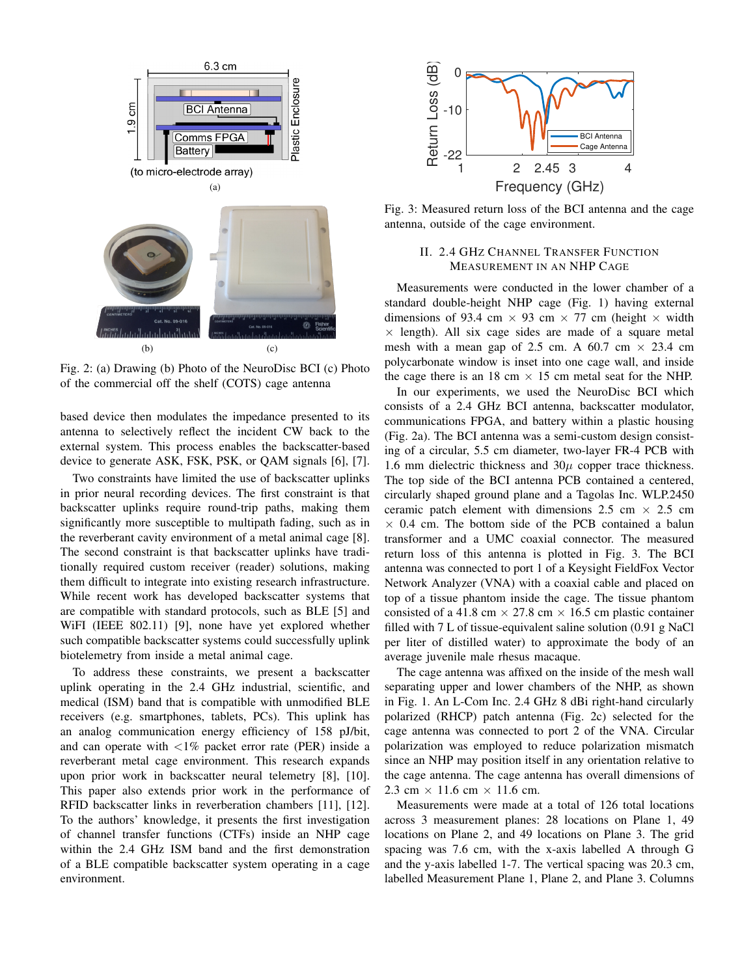

Fig. 2: (a) Drawing (b) Photo of the NeuroDisc BCI (c) Photo of the commercial off the shelf (COTS) cage antenna

based device then modulates the impedance presented to its antenna to selectively reflect the incident CW back to the external system. This process enables the backscatter-based device to generate ASK, FSK, PSK, or QAM signals [6], [7].

Two constraints have limited the use of backscatter uplinks in prior neural recording devices. The first constraint is that backscatter uplinks require round-trip paths, making them significantly more susceptible to multipath fading, such as in the reverberant cavity environment of a metal animal cage [8]. The second constraint is that backscatter uplinks have traditionally required custom receiver (reader) solutions, making them difficult to integrate into existing research infrastructure. While recent work has developed backscatter systems that are compatible with standard protocols, such as BLE [5] and WiFI (IEEE 802.11) [9], none have yet explored whether such compatible backscatter systems could successfully uplink biotelemetry from inside a metal animal cage.

To address these constraints, we present a backscatter uplink operating in the 2.4 GHz industrial, scientific, and medical (ISM) band that is compatible with unmodified BLE receivers (e.g. smartphones, tablets, PCs). This uplink has an analog communication energy efficiency of 158 pJ/bit, and can operate with  $\langle 1\%$  packet error rate (PER) inside a reverberant metal cage environment. This research expands upon prior work in backscatter neural telemetry [8], [10]. This paper also extends prior work in the performance of RFID backscatter links in reverberation chambers [11], [12]. To the authors' knowledge, it presents the first investigation of channel transfer functions (CTFs) inside an NHP cage within the 2.4 GHz ISM band and the first demonstration of a BLE compatible backscatter system operating in a cage environment.



Fig. 3: Measured return loss of the BCI antenna and the cage antenna, outside of the cage environment.

# II. 2.4 GHZ CHANNEL TRANSFER FUNCTION MEASUREMENT IN AN NHP CAGE

Measurements were conducted in the lower chamber of a standard double-height NHP cage (Fig. 1) having external dimensions of 93.4 cm  $\times$  93 cm  $\times$  77 cm (height  $\times$  width  $\times$  length). All six cage sides are made of a square metal mesh with a mean gap of 2.5 cm. A 60.7 cm  $\times$  23.4 cm polycarbonate window is inset into one cage wall, and inside the cage there is an 18 cm  $\times$  15 cm metal seat for the NHP.

In our experiments, we used the NeuroDisc BCI which consists of a 2.4 GHz BCI antenna, backscatter modulator, communications FPGA, and battery within a plastic housing (Fig. 2a). The BCI antenna was a semi-custom design consisting of a circular, 5.5 cm diameter, two-layer FR-4 PCB with 1.6 mm dielectric thickness and  $30\mu$  copper trace thickness. The top side of the BCI antenna PCB contained a centered, circularly shaped ground plane and a Tagolas Inc. WLP.2450 ceramic patch element with dimensions 2.5 cm  $\times$  2.5 cm  $\times$  0.4 cm. The bottom side of the PCB contained a balun transformer and a UMC coaxial connector. The measured return loss of this antenna is plotted in Fig. 3. The BCI antenna was connected to port 1 of a Keysight FieldFox Vector Network Analyzer (VNA) with a coaxial cable and placed on top of a tissue phantom inside the cage. The tissue phantom consisted of a 41.8 cm  $\times$  27.8 cm  $\times$  16.5 cm plastic container filled with 7 L of tissue-equivalent saline solution (0.91 g NaCl per liter of distilled water) to approximate the body of an average juvenile male rhesus macaque.

The cage antenna was affixed on the inside of the mesh wall separating upper and lower chambers of the NHP, as shown in Fig. 1. An L-Com Inc. 2.4 GHz 8 dBi right-hand circularly polarized (RHCP) patch antenna (Fig. 2c) selected for the cage antenna was connected to port 2 of the VNA. Circular polarization was employed to reduce polarization mismatch since an NHP may position itself in any orientation relative to the cage antenna. The cage antenna has overall dimensions of 2.3 cm  $\times$  11.6 cm  $\times$  11.6 cm.

Measurements were made at a total of 126 total locations across 3 measurement planes: 28 locations on Plane 1, 49 locations on Plane 2, and 49 locations on Plane 3. The grid spacing was 7.6 cm, with the x-axis labelled A through G and the y-axis labelled 1-7. The vertical spacing was 20.3 cm, labelled Measurement Plane 1, Plane 2, and Plane 3. Columns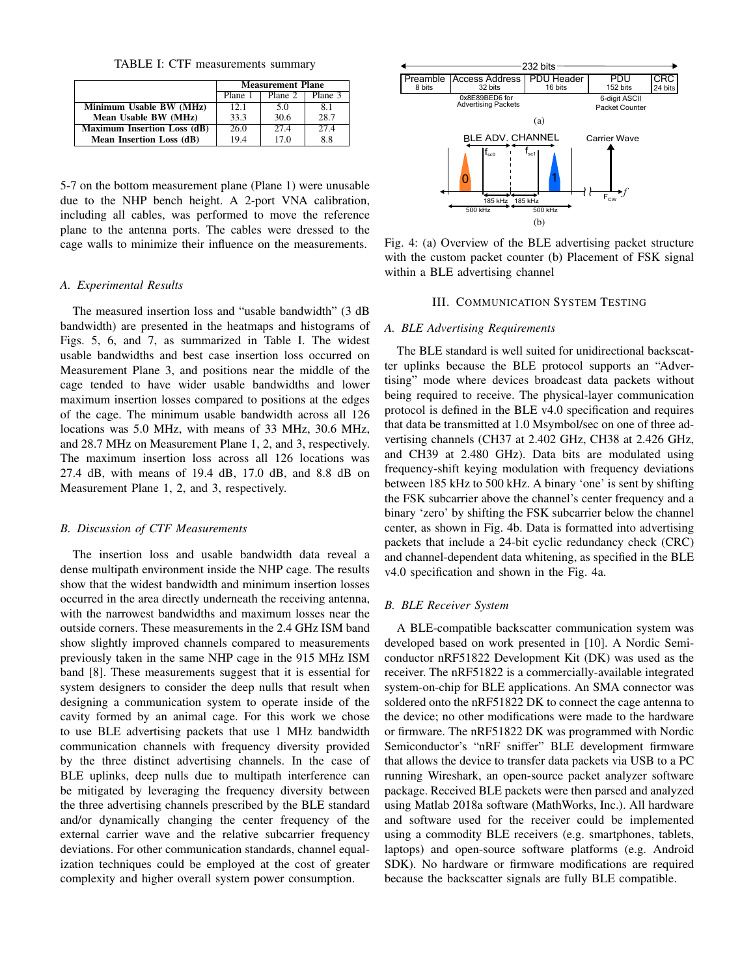TABLE I: CTF measurements summary

|                                    | <b>Measurement Plane</b> |         |         |
|------------------------------------|--------------------------|---------|---------|
|                                    | Plane 1                  | Plane 2 | Plane 3 |
| Minimum Usable BW (MHz)            | 12.1                     | 5.0     | 8.1     |
| Mean Usable BW (MHz)               | 33.3                     | 30.6    | 28.7    |
| <b>Maximum Insertion Loss (dB)</b> | 26.0                     | 27.4    | 27.4    |
| <b>Mean Insertion Loss (dB)</b>    | 19.4                     | 170     | 8.8     |

5-7 on the bottom measurement plane (Plane 1) were unusable due to the NHP bench height. A 2-port VNA calibration, including all cables, was performed to move the reference plane to the antenna ports. The cables were dressed to the cage walls to minimize their influence on the measurements.

#### *A. Experimental Results*

The measured insertion loss and "usable bandwidth" (3 dB bandwidth) are presented in the heatmaps and histograms of Figs. 5, 6, and 7, as summarized in Table I. The widest usable bandwidths and best case insertion loss occurred on Measurement Plane 3, and positions near the middle of the cage tended to have wider usable bandwidths and lower maximum insertion losses compared to positions at the edges of the cage. The minimum usable bandwidth across all 126 locations was 5.0 MHz, with means of 33 MHz, 30.6 MHz, and 28.7 MHz on Measurement Plane 1, 2, and 3, respectively. The maximum insertion loss across all 126 locations was 27.4 dB, with means of 19.4 dB, 17.0 dB, and 8.8 dB on Measurement Plane 1, 2, and 3, respectively.

# *B. Discussion of CTF Measurements*

The insertion loss and usable bandwidth data reveal a dense multipath environment inside the NHP cage. The results show that the widest bandwidth and minimum insertion losses occurred in the area directly underneath the receiving antenna, with the narrowest bandwidths and maximum losses near the outside corners. These measurements in the 2.4 GHz ISM band show slightly improved channels compared to measurements previously taken in the same NHP cage in the 915 MHz ISM band [8]. These measurements suggest that it is essential for system designers to consider the deep nulls that result when designing a communication system to operate inside of the cavity formed by an animal cage. For this work we chose to use BLE advertising packets that use 1 MHz bandwidth communication channels with frequency diversity provided by the three distinct advertising channels. In the case of BLE uplinks, deep nulls due to multipath interference can be mitigated by leveraging the frequency diversity between the three advertising channels prescribed by the BLE standard and/or dynamically changing the center frequency of the external carrier wave and the relative subcarrier frequency deviations. For other communication standards, channel equalization techniques could be employed at the cost of greater complexity and higher overall system power consumption.



Fig. 4: (a) Overview of the BLE advertising packet structure with the custom packet counter (b) Placement of FSK signal within a BLE advertising channel

#### III. COMMUNICATION SYSTEM TESTING

#### *A. BLE Advertising Requirements*

The BLE standard is well suited for unidirectional backscatter uplinks because the BLE protocol supports an "Advertising" mode where devices broadcast data packets without being required to receive. The physical-layer communication protocol is defined in the BLE v4.0 specification and requires that data be transmitted at 1.0 Msymbol/sec on one of three advertising channels (CH37 at 2.402 GHz, CH38 at 2.426 GHz, and CH39 at 2.480 GHz). Data bits are modulated using frequency-shift keying modulation with frequency deviations between 185 kHz to 500 kHz. A binary 'one' is sent by shifting the FSK subcarrier above the channel's center frequency and a binary 'zero' by shifting the FSK subcarrier below the channel center, as shown in Fig. 4b. Data is formatted into advertising packets that include a 24-bit cyclic redundancy check (CRC) and channel-dependent data whitening, as specified in the BLE v4.0 specification and shown in the Fig. 4a.

#### *B. BLE Receiver System*

A BLE-compatible backscatter communication system was developed based on work presented in [10]. A Nordic Semiconductor nRF51822 Development Kit (DK) was used as the receiver. The nRF51822 is a commercially-available integrated system-on-chip for BLE applications. An SMA connector was soldered onto the nRF51822 DK to connect the cage antenna to the device; no other modifications were made to the hardware or firmware. The nRF51822 DK was programmed with Nordic Semiconductor's "nRF sniffer" BLE development firmware that allows the device to transfer data packets via USB to a PC running Wireshark, an open-source packet analyzer software package. Received BLE packets were then parsed and analyzed using Matlab 2018a software (MathWorks, Inc.). All hardware and software used for the receiver could be implemented using a commodity BLE receivers (e.g. smartphones, tablets, laptops) and open-source software platforms (e.g. Android SDK). No hardware or firmware modifications are required because the backscatter signals are fully BLE compatible.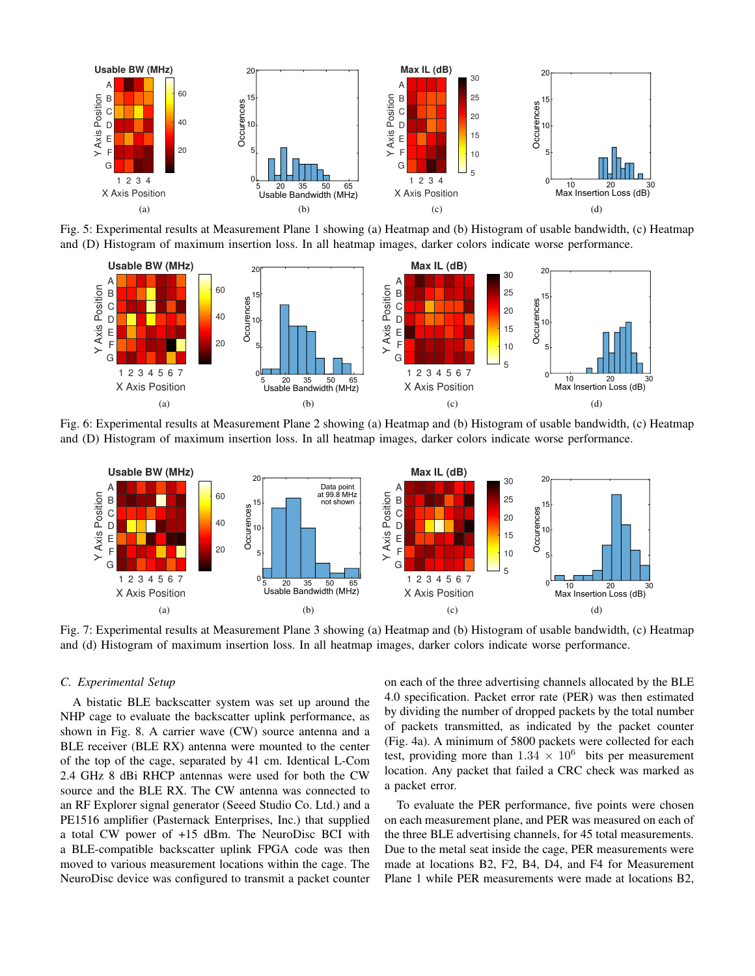

Fig. 5: Experimental results at Measurement Plane 1 showing (a) Heatmap and (b) Histogram of usable bandwidth, (c) Heatmap and (D) Histogram of maximum insertion loss. In all heatmap images, darker colors indicate worse performance.



Fig. 6: Experimental results at Measurement Plane 2 showing (a) Heatmap and (b) Histogram of usable bandwidth, (c) Heatmap and (D) Histogram of maximum insertion loss. In all heatmap images, darker colors indicate worse performance.



Fig. 7: Experimental results at Measurement Plane 3 showing (a) Heatmap and (b) Histogram of usable bandwidth, (c) Heatmap and (d) Histogram of maximum insertion loss. In all heatmap images, darker colors indicate worse performance.

#### *C. Experimental Setup*

A bistatic BLE backscatter system was set up around the NHP cage to evaluate the backscatter uplink performance, as shown in Fig. 8. A carrier wave (CW) source antenna and a BLE receiver (BLE RX) antenna were mounted to the center of the top of the cage, separated by 41 cm. Identical L-Com 2.4 GHz 8 dBi RHCP antennas were used for both the CW source and the BLE RX. The CW antenna was connected to an RF Explorer signal generator (Seeed Studio Co. Ltd.) and a PE1516 amplifier (Pasternack Enterprises, Inc.) that supplied a total CW power of +15 dBm. The NeuroDisc BCI with a BLE-compatible backscatter uplink FPGA code was then moved to various measurement locations within the cage. The NeuroDisc device was configured to transmit a packet counter

on each of the three advertising channels allocated by the BLE 4.0 specification. Packet error rate (PER) was then estimated by dividing the number of dropped packets by the total number of packets transmitted, as indicated by the packet counter (Fig. 4a). A minimum of 5800 packets were collected for each test, providing more than  $1.34 \times 10^6$  bits per measurement location. Any packet that failed a CRC check was marked as a packet error.

To evaluate the PER performance, five points were chosen on each measurement plane, and PER was measured on each of the three BLE advertising channels, for 45 total measurements. Due to the metal seat inside the cage, PER measurements were made at locations B2, F2, B4, D4, and F4 for Measurement Plane 1 while PER measurements were made at locations B2,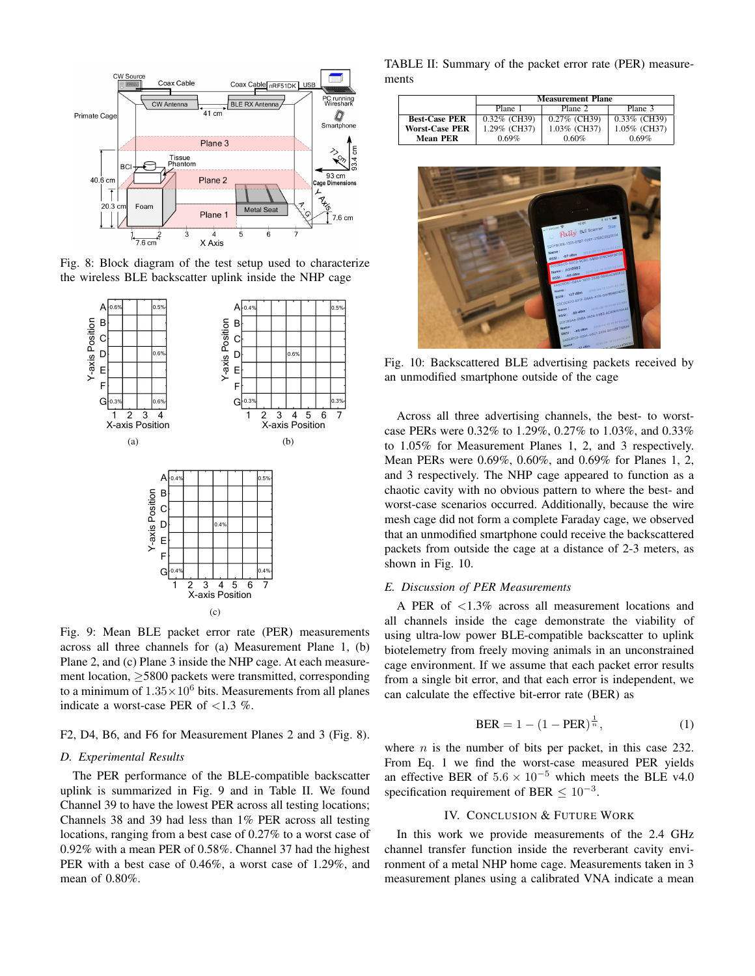

Fig. 8: Block diagram of the test setup used to characterize the wireless BLE backscatter uplink inside the NHP cage



Fig. 9: Mean BLE packet error rate (PER) measurements across all three channels for (a) Measurement Plane 1, (b) Plane 2, and (c) Plane 3 inside the NHP cage. At each measurement location, ≥5800 packets were transmitted, corresponding to a minimum of  $1.35 \times 10^6$  bits. Measurements from all planes indicate a worst-case PER of  $<1.3$  %.

#### F2, D4, B6, and F6 for Measurement Planes 2 and 3 (Fig. 8).

## *D. Experimental Results*

The PER performance of the BLE-compatible backscatter uplink is summarized in Fig. 9 and in Table II. We found Channel 39 to have the lowest PER across all testing locations; Channels 38 and 39 had less than 1% PER across all testing locations, ranging from a best case of 0.27% to a worst case of 0.92% with a mean PER of 0.58%. Channel 37 had the highest PER with a best case of 0.46%, a worst case of 1.29%, and mean of 0.80%.

TABLE II: Summary of the packet error rate (PER) measurements

|                       | <b>Measurement Plane</b> |                 |                 |  |
|-----------------------|--------------------------|-----------------|-----------------|--|
|                       | Plane 1                  | Plane 2         | Plane 3         |  |
| <b>Best-Case PER</b>  | $0.32\%$ (CH39)          | $0.27\%$ (CH39) | $0.33\%$ (CH39) |  |
| <b>Worst-Case PER</b> | 1.29% (CH37)             | 1.03% (CH37)    | 1.05% (CH37)    |  |
| Mean PER              | 0.69%                    | $0.60\%$        | 0.69%           |  |



Fig. 10: Backscattered BLE advertising packets received by an unmodified smartphone outside of the cage

Across all three advertising channels, the best- to worstcase PERs were 0.32% to 1.29%, 0.27% to 1.03%, and 0.33% to 1.05% for Measurement Planes 1, 2, and 3 respectively. Mean PERs were 0.69%, 0.60%, and 0.69% for Planes 1, 2, and 3 respectively. The NHP cage appeared to function as a chaotic cavity with no obvious pattern to where the best- and worst-case scenarios occurred. Additionally, because the wire mesh cage did not form a complete Faraday cage, we observed that an unmodified smartphone could receive the backscattered packets from outside the cage at a distance of 2-3 meters, as shown in Fig. 10.

## *E. Discussion of PER Measurements*

A PER of <1.3% across all measurement locations and all channels inside the cage demonstrate the viability of using ultra-low power BLE-compatible backscatter to uplink biotelemetry from freely moving animals in an unconstrained cage environment. If we assume that each packet error results from a single bit error, and that each error is independent, we can calculate the effective bit-error rate (BER) as

$$
BER = 1 - (1 - PER)^{\frac{1}{n}}, \t(1)
$$

where  $n$  is the number of bits per packet, in this case 232. From Eq. 1 we find the worst-case measured PER yields an effective BER of  $5.6 \times 10^{-5}$  which meets the BLE v4.0 specification requirement of BER  $\leq 10^{-3}$ .

## IV. CONCLUSION & FUTURE WORK

In this work we provide measurements of the 2.4 GHz channel transfer function inside the reverberant cavity environment of a metal NHP home cage. Measurements taken in 3 measurement planes using a calibrated VNA indicate a mean